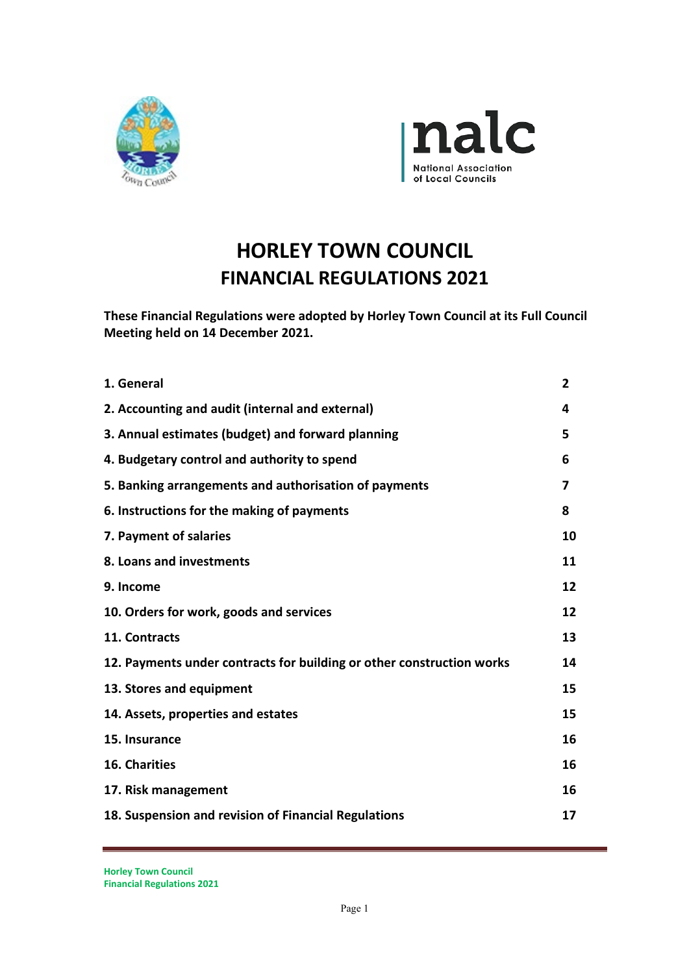



# **HORLEY TOWN COUNCIL FINANCIAL REGULATIONS 2021**

**These Financial Regulations were adopted by Horley Town Council at its Full Council Meeting held on 14 December 2021.**

| 1. General                                                            | $\overline{2}$ |
|-----------------------------------------------------------------------|----------------|
| 2. Accounting and audit (internal and external)                       | 4              |
| 3. Annual estimates (budget) and forward planning                     | 5              |
| 4. Budgetary control and authority to spend                           | 6              |
| 5. Banking arrangements and authorisation of payments                 | 7              |
| 6. Instructions for the making of payments                            | 8              |
| 7. Payment of salaries                                                | 10             |
| 8. Loans and investments                                              | 11             |
| 9. Income                                                             | 12             |
| 10. Orders for work, goods and services                               | 12             |
| 11. Contracts                                                         | 13             |
| 12. Payments under contracts for building or other construction works | 14             |
| 13. Stores and equipment                                              | 15             |
| 14. Assets, properties and estates                                    | 15             |
| 15. Insurance                                                         | 16             |
| 16. Charities                                                         | 16             |
| 17. Risk management                                                   | 16             |
| 18. Suspension and revision of Financial Regulations                  | 17             |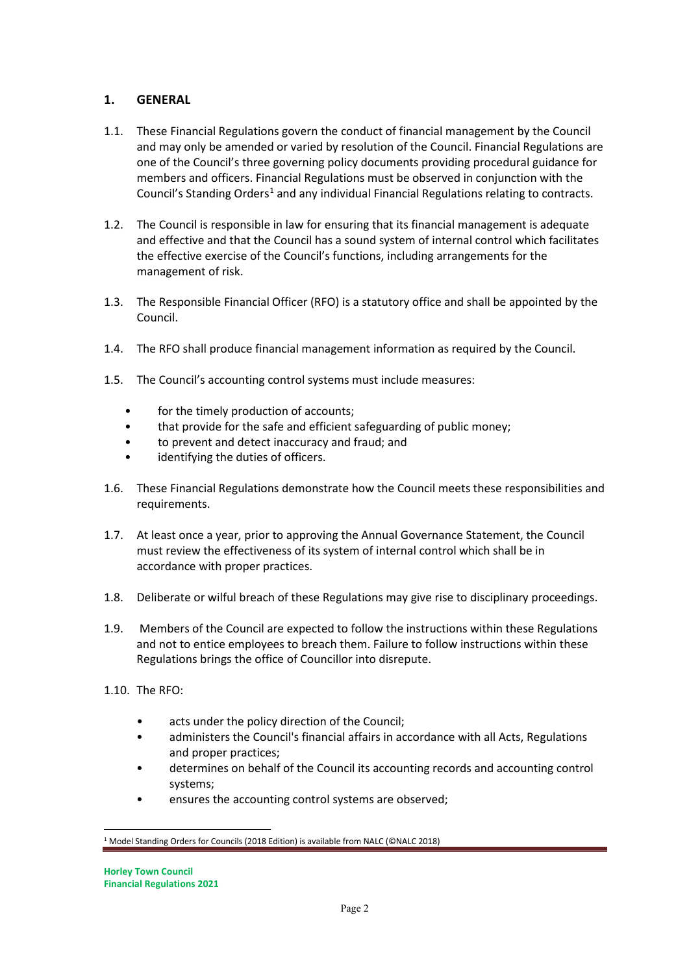## **1. GENERAL**

- 1.1. These Financial Regulations govern the conduct of financial management by the Council and may only be amended or varied by resolution of the Council. Financial Regulations are one of the Council's three governing policy documents providing procedural guidance for members and officers. Financial Regulations must be observed in conjunction with the Council's Standing Orders<sup>[1](#page-1-0)</sup> and any individual Financial Regulations relating to contracts.
- 1.2. The Council is responsible in law for ensuring that its financial management is adequate and effective and that the Council has a sound system of internal control which facilitates the effective exercise of the Council's functions, including arrangements for the management of risk.
- 1.3. The Responsible Financial Officer (RFO) is a statutory office and shall be appointed by the Council.
- 1.4. The RFO shall produce financial management information as required by the Council.
- 1.5. The Council's accounting control systems must include measures:
	- for the timely production of accounts;
	- that provide for the safe and efficient safeguarding of public money;
	- to prevent and detect inaccuracy and fraud; and
	- identifying the duties of officers.
- 1.6. These Financial Regulations demonstrate how the Council meets these responsibilities and requirements.
- 1.7. At least once a year, prior to approving the Annual Governance Statement, the Council must review the effectiveness of its system of internal control which shall be in accordance with proper practices.
- 1.8. Deliberate or wilful breach of these Regulations may give rise to disciplinary proceedings.
- 1.9. Members of the Council are expected to follow the instructions within these Regulations and not to entice employees to breach them. Failure to follow instructions within these Regulations brings the office of Councillor into disrepute.
- 1.10. The RFO:
	- acts under the policy direction of the Council;
	- administers the Council's financial affairs in accordance with all Acts, Regulations and proper practices;
	- determines on behalf of the Council its accounting records and accounting control systems;
	- ensures the accounting control systems are observed;

<span id="page-1-0"></span><sup>1</sup> Model Standing Orders for Councils (2018 Edition) is available from NALC (©NALC 2018)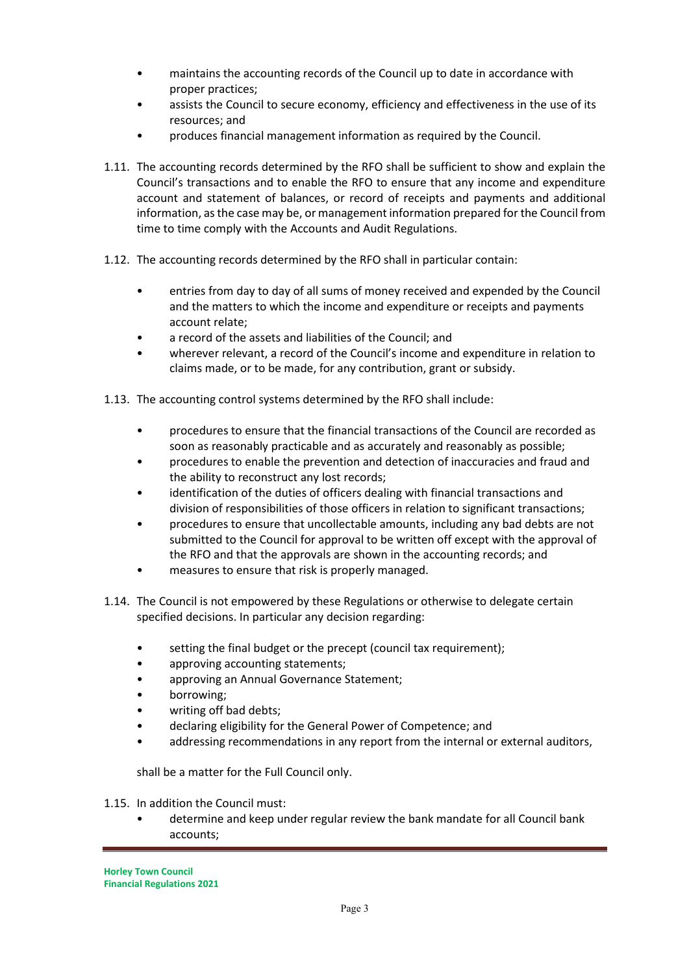- maintains the accounting records of the Council up to date in accordance with proper practices;
- assists the Council to secure economy, efficiency and effectiveness in the use of its resources; and
- produces financial management information as required by the Council.
- 1.11. The accounting records determined by the RFO shall be sufficient to show and explain the Council's transactions and to enable the RFO to ensure that any income and expenditure account and statement of balances, or record of receipts and payments and additional information, as the case may be, or management information prepared for the Council from time to time comply with the Accounts and Audit Regulations.
- 1.12. The accounting records determined by the RFO shall in particular contain:
	- entries from day to day of all sums of money received and expended by the Council and the matters to which the income and expenditure or receipts and payments account relate;
	- a record of the assets and liabilities of the Council; and
	- wherever relevant, a record of the Council's income and expenditure in relation to claims made, or to be made, for any contribution, grant or subsidy.
- 1.13. The accounting control systems determined by the RFO shall include:
	- procedures to ensure that the financial transactions of the Council are recorded as soon as reasonably practicable and as accurately and reasonably as possible;
	- procedures to enable the prevention and detection of inaccuracies and fraud and the ability to reconstruct any lost records;
	- identification of the duties of officers dealing with financial transactions and division of responsibilities of those officers in relation to significant transactions;
	- procedures to ensure that uncollectable amounts, including any bad debts are not submitted to the Council for approval to be written off except with the approval of the RFO and that the approvals are shown in the accounting records; and
	- measures to ensure that risk is properly managed.
- 1.14. The Council is not empowered by these Regulations or otherwise to delegate certain specified decisions. In particular any decision regarding:
	- setting the final budget or the precept (council tax requirement);
	- approving accounting statements;
	- approving an Annual Governance Statement;
	- borrowing;
	- writing off bad debts;
	- declaring eligibility for the General Power of Competence; and
	- addressing recommendations in any report from the internal or external auditors,

shall be a matter for the Full Council only.

1.15. In addition the Council must:

• determine and keep under regular review the bank mandate for all Council bank accounts;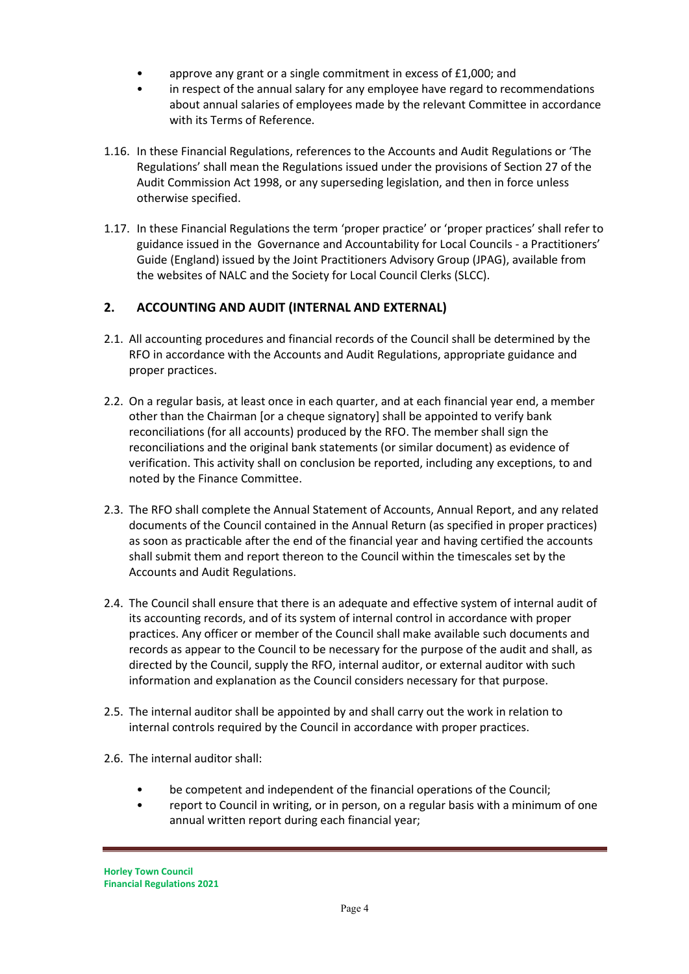- approve any grant or a single commitment in excess of £1,000; and
- in respect of the annual salary for any employee have regard to recommendations about annual salaries of employees made by the relevant Committee in accordance with its Terms of Reference.
- 1.16. In these Financial Regulations, references to the Accounts and Audit Regulations or 'The Regulations' shall mean the Regulations issued under the provisions of Section 27 of the Audit Commission Act 1998, or any superseding legislation, and then in force unless otherwise specified.
- 1.17. In these Financial Regulations the term 'proper practice' or 'proper practices' shall refer to guidance issued in the Governance and Accountability for Local Councils - a Practitioners' Guide (England) issued by the Joint Practitioners Advisory Group (JPAG), available from the websites of NALC and the Society for Local Council Clerks (SLCC).

# **2. ACCOUNTING AND AUDIT (INTERNAL AND EXTERNAL)**

- 2.1. All accounting procedures and financial records of the Council shall be determined by the RFO in accordance with the Accounts and Audit Regulations, appropriate guidance and proper practices.
- 2.2. On a regular basis, at least once in each quarter, and at each financial year end, a member other than the Chairman [or a cheque signatory] shall be appointed to verify bank reconciliations (for all accounts) produced by the RFO. The member shall sign the reconciliations and the original bank statements (or similar document) as evidence of verification. This activity shall on conclusion be reported, including any exceptions, to and noted by the Finance Committee.
- 2.3. The RFO shall complete the Annual Statement of Accounts, Annual Report, and any related documents of the Council contained in the Annual Return (as specified in proper practices) as soon as practicable after the end of the financial year and having certified the accounts shall submit them and report thereon to the Council within the timescales set by the Accounts and Audit Regulations.
- 2.4. The Council shall ensure that there is an adequate and effective system of internal audit of its accounting records, and of its system of internal control in accordance with proper practices. Any officer or member of the Council shall make available such documents and records as appear to the Council to be necessary for the purpose of the audit and shall, as directed by the Council, supply the RFO, internal auditor, or external auditor with such information and explanation as the Council considers necessary for that purpose.
- 2.5. The internal auditor shall be appointed by and shall carry out the work in relation to internal controls required by the Council in accordance with proper practices.
- 2.6. The internal auditor shall:
	- be competent and independent of the financial operations of the Council;
	- report to Council in writing, or in person, on a regular basis with a minimum of one annual written report during each financial year;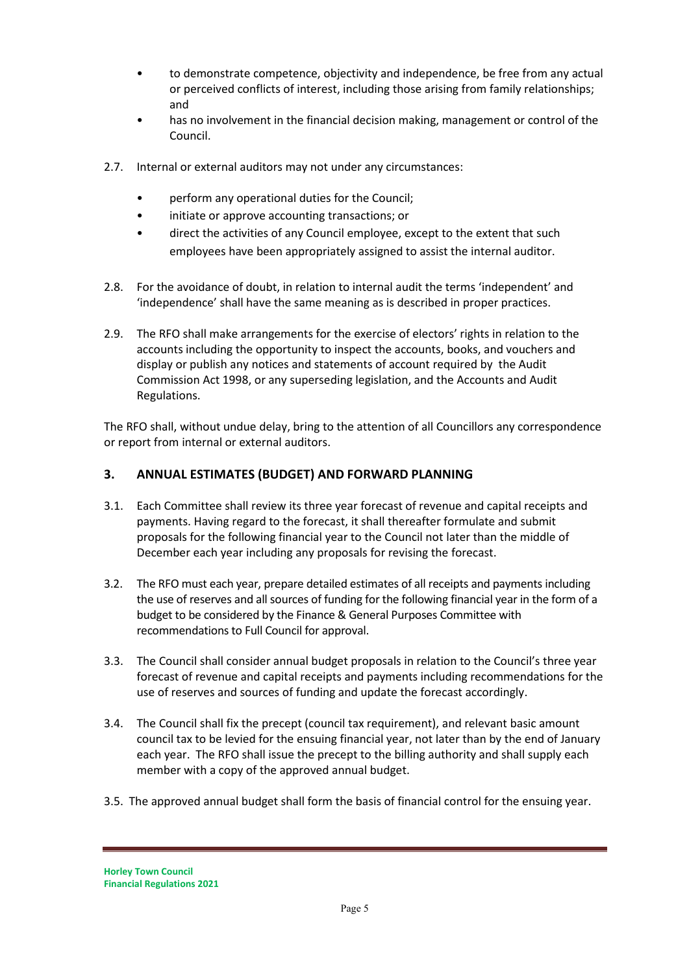- to demonstrate competence, objectivity and independence, be free from any actual or perceived conflicts of interest, including those arising from family relationships; and
- has no involvement in the financial decision making, management or control of the Council.
- 2.7. Internal or external auditors may not under any circumstances:
	- perform any operational duties for the Council;
	- initiate or approve accounting transactions; or
	- direct the activities of any Council employee, except to the extent that such employees have been appropriately assigned to assist the internal auditor.
- 2.8. For the avoidance of doubt, in relation to internal audit the terms 'independent' and 'independence' shall have the same meaning as is described in proper practices.
- 2.9. The RFO shall make arrangements for the exercise of electors' rights in relation to the accounts including the opportunity to inspect the accounts, books, and vouchers and display or publish any notices and statements of account required by the Audit Commission Act 1998, or any superseding legislation, and the Accounts and Audit Regulations.

The RFO shall, without undue delay, bring to the attention of all Councillors any correspondence or report from internal or external auditors.

## **3. ANNUAL ESTIMATES (BUDGET) AND FORWARD PLANNING**

- 3.1. Each Committee shall review its three year forecast of revenue and capital receipts and payments. Having regard to the forecast, it shall thereafter formulate and submit proposals for the following financial year to the Council not later than the middle of December each year including any proposals for revising the forecast.
- 3.2. The RFO must each year, prepare detailed estimates of all receipts and payments including the use of reserves and all sources of funding for the following financial year in the form of a budget to be considered by the Finance & General Purposes Committee with recommendations to Full Council for approval.
- 3.3. The Council shall consider annual budget proposals in relation to the Council's three year forecast of revenue and capital receipts and payments including recommendations for the use of reserves and sources of funding and update the forecast accordingly.
- 3.4. The Council shall fix the precept (council tax requirement), and relevant basic amount council tax to be levied for the ensuing financial year, not later than by the end of January each year. The RFO shall issue the precept to the billing authority and shall supply each member with a copy of the approved annual budget.
- 3.5. The approved annual budget shall form the basis of financial control for the ensuing year.

**Horley Town Council Financial Regulations 2021**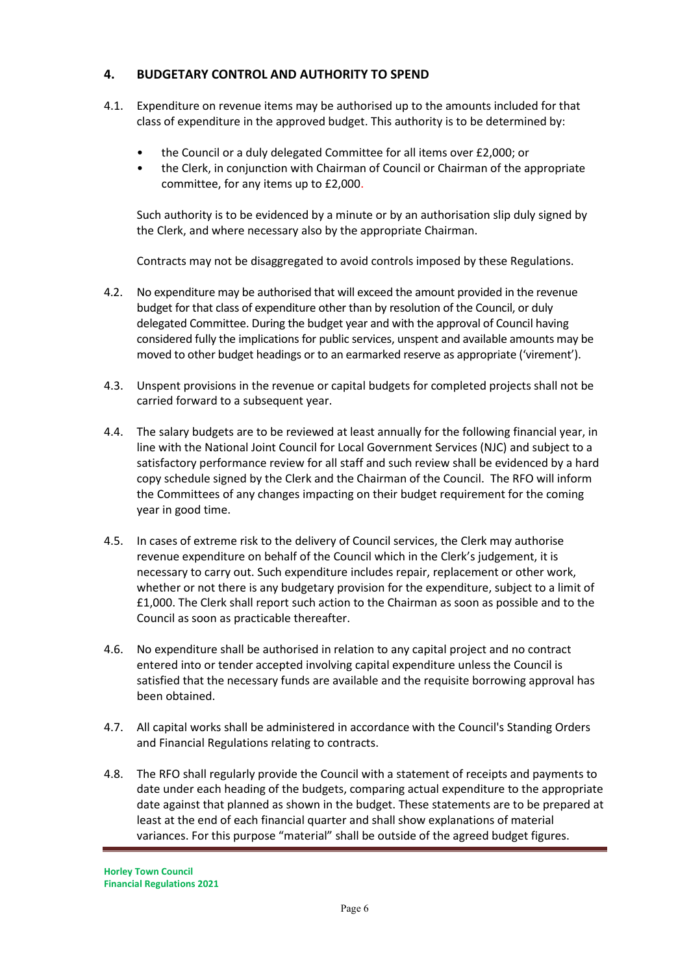## **4. BUDGETARY CONTROL AND AUTHORITY TO SPEND**

- 4.1. Expenditure on revenue items may be authorised up to the amounts included for that class of expenditure in the approved budget. This authority is to be determined by:
	- the Council or a duly delegated Committee for all items over £2,000; or
	- the Clerk, in conjunction with Chairman of Council or Chairman of the appropriate committee, for any items up to £2,000.

Such authority is to be evidenced by a minute or by an authorisation slip duly signed by the Clerk, and where necessary also by the appropriate Chairman.

Contracts may not be disaggregated to avoid controls imposed by these Regulations.

- 4.2. No expenditure may be authorised that will exceed the amount provided in the revenue budget for that class of expenditure other than by resolution of the Council, or duly delegated Committee. During the budget year and with the approval of Council having considered fully the implications for public services, unspent and available amounts may be moved to other budget headings or to an earmarked reserve as appropriate ('virement').
- 4.3. Unspent provisions in the revenue or capital budgets for completed projects shall not be carried forward to a subsequent year.
- 4.4. The salary budgets are to be reviewed at least annually for the following financial year, in line with the National Joint Council for Local Government Services (NJC) and subject to a satisfactory performance review for all staff and such review shall be evidenced by a hard copy schedule signed by the Clerk and the Chairman of the Council. The RFO will inform the Committees of any changes impacting on their budget requirement for the coming year in good time.
- 4.5. In cases of extreme risk to the delivery of Council services, the Clerk may authorise revenue expenditure on behalf of the Council which in the Clerk's judgement, it is necessary to carry out. Such expenditure includes repair, replacement or other work, whether or not there is any budgetary provision for the expenditure, subject to a limit of £1,000. The Clerk shall report such action to the Chairman as soon as possible and to the Council as soon as practicable thereafter.
- 4.6. No expenditure shall be authorised in relation to any capital project and no contract entered into or tender accepted involving capital expenditure unless the Council is satisfied that the necessary funds are available and the requisite borrowing approval has been obtained.
- 4.7. All capital works shall be administered in accordance with the Council's Standing Orders and Financial Regulations relating to contracts.
- 4.8. The RFO shall regularly provide the Council with a statement of receipts and payments to date under each heading of the budgets, comparing actual expenditure to the appropriate date against that planned as shown in the budget. These statements are to be prepared at least at the end of each financial quarter and shall show explanations of material variances. For this purpose "material" shall be outside of the agreed budget figures.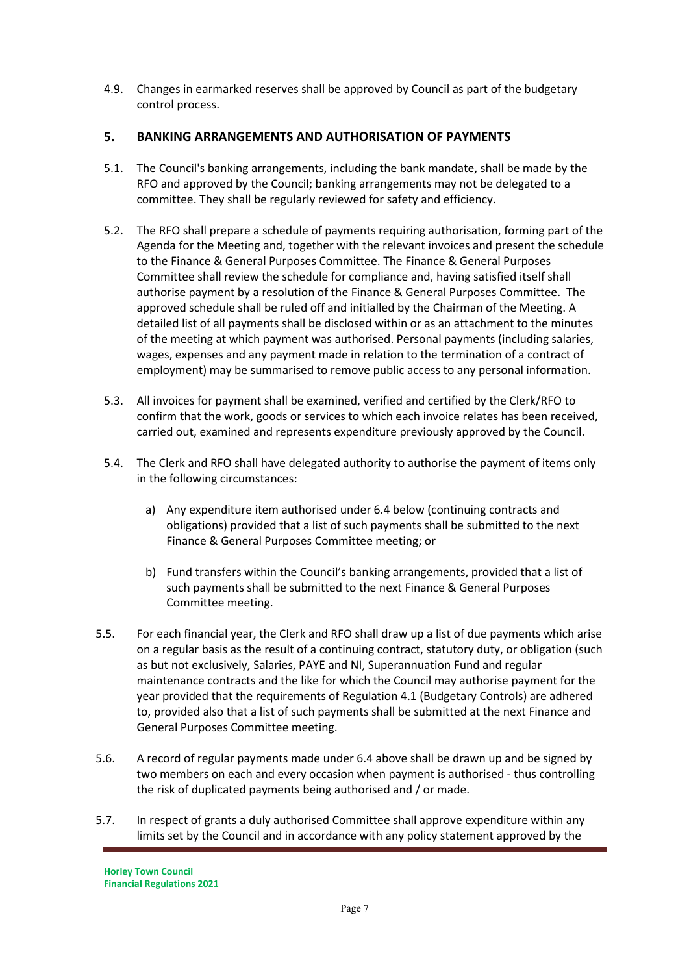4.9. Changes in earmarked reserves shall be approved by Council as part of the budgetary control process.

# **5. BANKING ARRANGEMENTS AND AUTHORISATION OF PAYMENTS**

- 5.1. The Council's banking arrangements, including the bank mandate, shall be made by the RFO and approved by the Council; banking arrangements may not be delegated to a committee. They shall be regularly reviewed for safety and efficiency.
- 5.2. The RFO shall prepare a schedule of payments requiring authorisation, forming part of the Agenda for the Meeting and, together with the relevant invoices and present the schedule to the Finance & General Purposes Committee. The Finance & General Purposes Committee shall review the schedule for compliance and, having satisfied itself shall authorise payment by a resolution of the Finance & General Purposes Committee. The approved schedule shall be ruled off and initialled by the Chairman of the Meeting. A detailed list of all payments shall be disclosed within or as an attachment to the minutes of the meeting at which payment was authorised. Personal payments (including salaries, wages, expenses and any payment made in relation to the termination of a contract of employment) may be summarised to remove public access to any personal information.
- 5.3. All invoices for payment shall be examined, verified and certified by the Clerk/RFO to confirm that the work, goods or services to which each invoice relates has been received, carried out, examined and represents expenditure previously approved by the Council.
- 5.4. The Clerk and RFO shall have delegated authority to authorise the payment of items only in the following circumstances:
	- a) Any expenditure item authorised under 6.4 below (continuing contracts and obligations) provided that a list of such payments shall be submitted to the next Finance & General Purposes Committee meeting; or
	- b) Fund transfers within the Council's banking arrangements, provided that a list of such payments shall be submitted to the next Finance & General Purposes Committee meeting.
- 5.5. For each financial year, the Clerk and RFO shall draw up a list of due payments which arise on a regular basis as the result of a continuing contract, statutory duty, or obligation (such as but not exclusively, Salaries, PAYE and NI, Superannuation Fund and regular maintenance contracts and the like for which the Council may authorise payment for the year provided that the requirements of Regulation 4.1 (Budgetary Controls) are adhered to, provided also that a list of such payments shall be submitted at the next Finance and General Purposes Committee meeting.
- 5.6. A record of regular payments made under 6.4 above shall be drawn up and be signed by two members on each and every occasion when payment is authorised - thus controlling the risk of duplicated payments being authorised and / or made.
- 5.7. In respect of grants a duly authorised Committee shall approve expenditure within any limits set by the Council and in accordance with any policy statement approved by the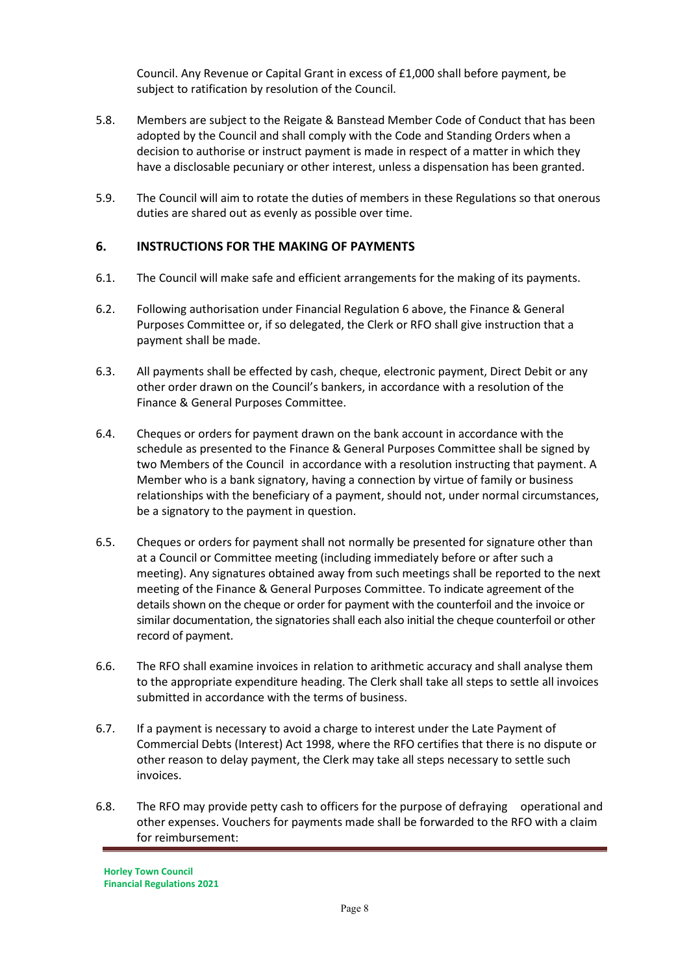Council. Any Revenue or Capital Grant in excess of £1,000 shall before payment, be subject to ratification by resolution of the Council.

- 5.8. Members are subject to the Reigate & Banstead Member Code of Conduct that has been adopted by the Council and shall comply with the Code and Standing Orders when a decision to authorise or instruct payment is made in respect of a matter in which they have a disclosable pecuniary or other interest, unless a dispensation has been granted.
- 5.9. The Council will aim to rotate the duties of members in these Regulations so that onerous duties are shared out as evenly as possible over time.

#### **6. INSTRUCTIONS FOR THE MAKING OF PAYMENTS**

- 6.1. The Council will make safe and efficient arrangements for the making of its payments.
- 6.2. Following authorisation under Financial Regulation 6 above, the Finance & General Purposes Committee or, if so delegated, the Clerk or RFO shall give instruction that a payment shall be made.
- 6.3. All payments shall be effected by cash, cheque, electronic payment, Direct Debit or any other order drawn on the Council's bankers, in accordance with a resolution of the Finance & General Purposes Committee.
- 6.4. Cheques or orders for payment drawn on the bank account in accordance with the schedule as presented to the Finance & General Purposes Committee shall be signed by two Members of the Council in accordance with a resolution instructing that payment. A Member who is a bank signatory, having a connection by virtue of family or business relationships with the beneficiary of a payment, should not, under normal circumstances, be a signatory to the payment in question.
- 6.5. Cheques or orders for payment shall not normally be presented for signature other than at a Council or Committee meeting (including immediately before or after such a meeting). Any signatures obtained away from such meetings shall be reported to the next meeting of the Finance & General Purposes Committee. To indicate agreement of the details shown on the cheque or order for payment with the counterfoil and the invoice or similar documentation, the signatories shall each also initial the cheque counterfoil or other record of payment.
- 6.6. The RFO shall examine invoices in relation to arithmetic accuracy and shall analyse them to the appropriate expenditure heading. The Clerk shall take all steps to settle all invoices submitted in accordance with the terms of business.
- 6.7. If a payment is necessary to avoid a charge to interest under the Late Payment of Commercial Debts (Interest) Act 1998, where the RFO certifies that there is no dispute or other reason to delay payment, the Clerk may take all steps necessary to settle such invoices.
- 6.8. The RFO may provide petty cash to officers for the purpose of defraying operational and other expenses. Vouchers for payments made shall be forwarded to the RFO with a claim for reimbursement: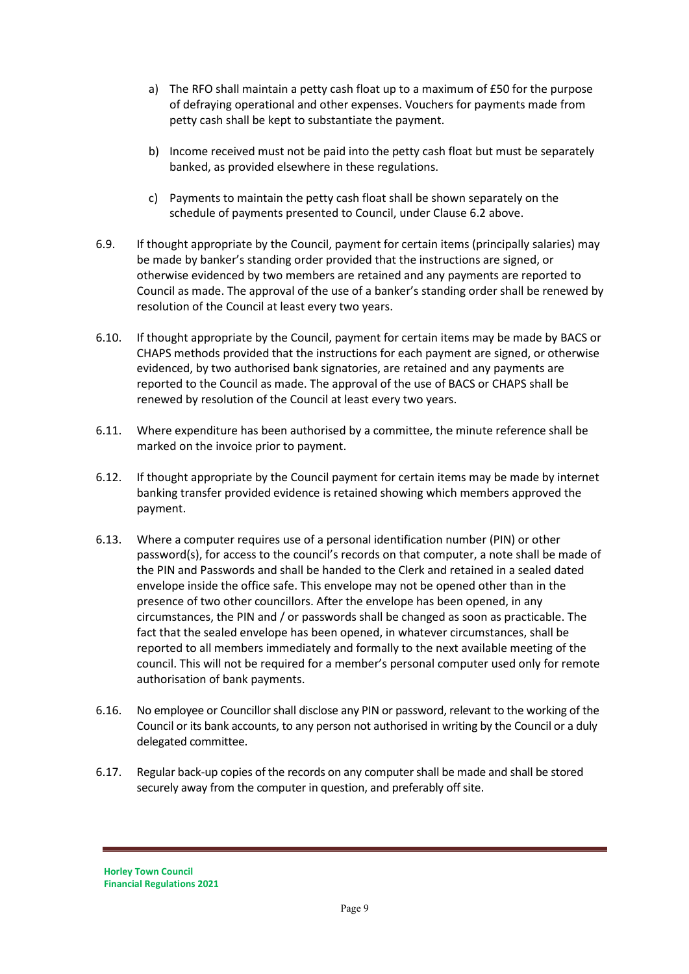- a) The RFO shall maintain a petty cash float up to a maximum of £50 for the purpose of defraying operational and other expenses. Vouchers for payments made from petty cash shall be kept to substantiate the payment.
- b) Income received must not be paid into the petty cash float but must be separately banked, as provided elsewhere in these regulations.
- c) Payments to maintain the petty cash float shall be shown separately on the schedule of payments presented to Council, under Clause 6.2 above.
- 6.9. If thought appropriate by the Council, payment for certain items (principally salaries) may be made by banker's standing order provided that the instructions are signed, or otherwise evidenced by two members are retained and any payments are reported to Council as made. The approval of the use of a banker's standing order shall be renewed by resolution of the Council at least every two years.
- 6.10. If thought appropriate by the Council, payment for certain items may be made by BACS or CHAPS methods provided that the instructions for each payment are signed, or otherwise evidenced, by two authorised bank signatories, are retained and any payments are reported to the Council as made. The approval of the use of BACS or CHAPS shall be renewed by resolution of the Council at least every two years.
- 6.11. Where expenditure has been authorised by a committee, the minute reference shall be marked on the invoice prior to payment.
- 6.12. If thought appropriate by the Council payment for certain items may be made by internet banking transfer provided evidence is retained showing which members approved the payment.
- 6.13. Where a computer requires use of a personal identification number (PIN) or other password(s), for access to the council's records on that computer, a note shall be made of the PIN and Passwords and shall be handed to the Clerk and retained in a sealed dated envelope inside the office safe. This envelope may not be opened other than in the presence of two other councillors. After the envelope has been opened, in any circumstances, the PIN and / or passwords shall be changed as soon as practicable. The fact that the sealed envelope has been opened, in whatever circumstances, shall be reported to all members immediately and formally to the next available meeting of the council. This will not be required for a member's personal computer used only for remote authorisation of bank payments.
- 6.16. No employee or Councillor shall disclose any PIN or password, relevant to the working of the Council or its bank accounts, to any person not authorised in writing by the Council or a duly delegated committee.
- 6.17. Regular back-up copies of the records on any computer shall be made and shall be stored securely away from the computer in question, and preferably off site.

**Horley Town Council Financial Regulations 2021**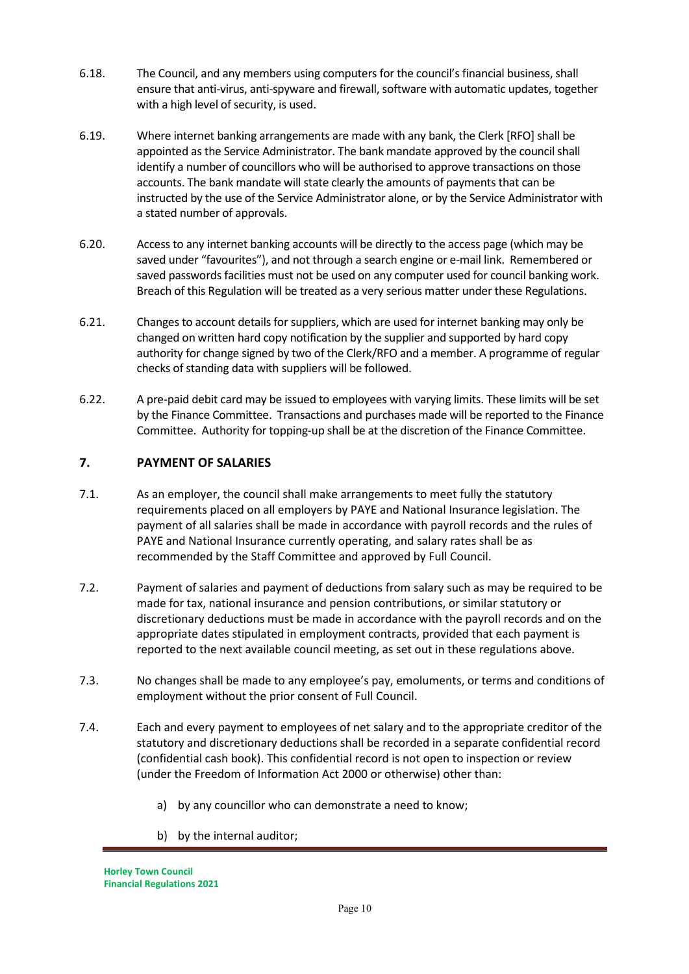- 6.18. The Council, and any members using computers for the council's financial business, shall ensure that anti-virus, anti-spyware and firewall, software with automatic updates, together with a high level of security, is used.
- 6.19. Where internet banking arrangements are made with any bank, the Clerk [RFO] shall be appointed as the Service Administrator. The bank mandate approved by the council shall identify a number of councillors who will be authorised to approve transactions on those accounts. The bank mandate will state clearly the amounts of payments that can be instructed by the use of the Service Administrator alone, or by the Service Administrator with a stated number of approvals.
- 6.20. Access to any internet banking accounts will be directly to the access page (which may be saved under "favourites"), and not through a search engine or e-mail link. Remembered or saved passwords facilities must not be used on any computer used for council banking work. Breach of this Regulation will be treated as a very serious matter under these Regulations.
- 6.21. Changes to account details for suppliers, which are used for internet banking may only be changed on written hard copy notification by the supplier and supported by hard copy authority for change signed by two of the Clerk/RFO and a member. A programme of regular checks of standing data with suppliers will be followed.
- 6.22. A pre-paid debit card may be issued to employees with varying limits. These limits will be set by the Finance Committee. Transactions and purchases made will be reported to the Finance Committee. Authority for topping-up shall be at the discretion of the Finance Committee.

#### **7. PAYMENT OF SALARIES**

- 7.1. As an employer, the council shall make arrangements to meet fully the statutory requirements placed on all employers by PAYE and National Insurance legislation. The payment of all salaries shall be made in accordance with payroll records and the rules of PAYE and National Insurance currently operating, and salary rates shall be as recommended by the Staff Committee and approved by Full Council.
- 7.2. Payment of salaries and payment of deductions from salary such as may be required to be made for tax, national insurance and pension contributions, or similar statutory or discretionary deductions must be made in accordance with the payroll records and on the appropriate dates stipulated in employment contracts, provided that each payment is reported to the next available council meeting, as set out in these regulations above.
- 7.3. No changes shall be made to any employee's pay, emoluments, or terms and conditions of employment without the prior consent of Full Council.
- 7.4. Each and every payment to employees of net salary and to the appropriate creditor of the statutory and discretionary deductions shall be recorded in a separate confidential record (confidential cash book). This confidential record is not open to inspection or review (under the Freedom of Information Act 2000 or otherwise) other than:
	- a) by any councillor who can demonstrate a need to know;
	- b) by the internal auditor;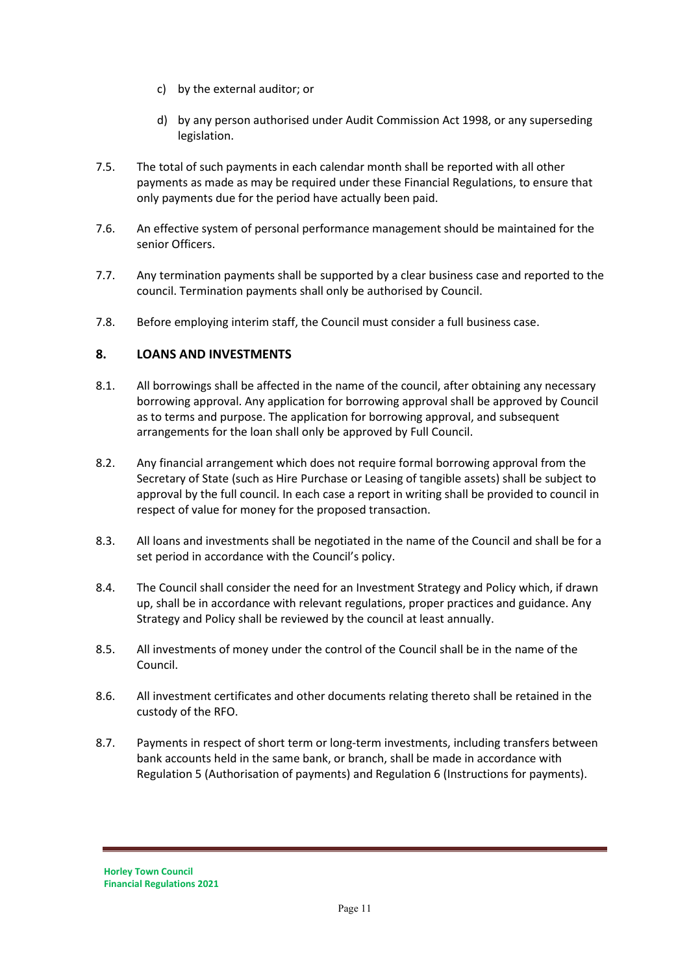- c) by the external auditor; or
- d) by any person authorised under Audit Commission Act 1998, or any superseding legislation.
- 7.5. The total of such payments in each calendar month shall be reported with all other payments as made as may be required under these Financial Regulations, to ensure that only payments due for the period have actually been paid.
- 7.6. An effective system of personal performance management should be maintained for the senior Officers.
- 7.7. Any termination payments shall be supported by a clear business case and reported to the council. Termination payments shall only be authorised by Council.
- 7.8. Before employing interim staff, the Council must consider a full business case.

#### **8. LOANS AND INVESTMENTS**

- 8.1. All borrowings shall be affected in the name of the council, after obtaining any necessary borrowing approval. Any application for borrowing approval shall be approved by Council as to terms and purpose. The application for borrowing approval, and subsequent arrangements for the loan shall only be approved by Full Council.
- 8.2. Any financial arrangement which does not require formal borrowing approval from the Secretary of State (such as Hire Purchase or Leasing of tangible assets) shall be subject to approval by the full council. In each case a report in writing shall be provided to council in respect of value for money for the proposed transaction.
- 8.3. All loans and investments shall be negotiated in the name of the Council and shall be for a set period in accordance with the Council's policy.
- 8.4. The Council shall consider the need for an Investment Strategy and Policy which, if drawn up, shall be in accordance with relevant regulations, proper practices and guidance. Any Strategy and Policy shall be reviewed by the council at least annually.
- 8.5. All investments of money under the control of the Council shall be in the name of the Council.
- 8.6. All investment certificates and other documents relating thereto shall be retained in the custody of the RFO.
- 8.7. Payments in respect of short term or long-term investments, including transfers between bank accounts held in the same bank, or branch, shall be made in accordance with Regulation 5 (Authorisation of payments) and Regulation 6 (Instructions for payments).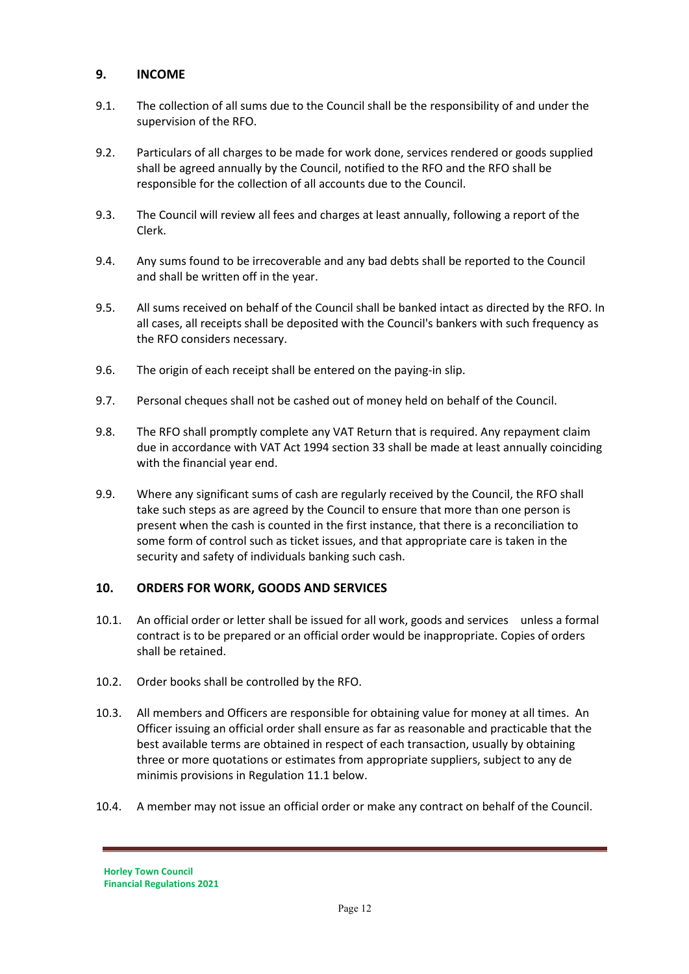## **9. INCOME**

- 9.1. The collection of all sums due to the Council shall be the responsibility of and under the supervision of the RFO.
- 9.2. Particulars of all charges to be made for work done, services rendered or goods supplied shall be agreed annually by the Council, notified to the RFO and the RFO shall be responsible for the collection of all accounts due to the Council.
- 9.3. The Council will review all fees and charges at least annually, following a report of the Clerk.
- 9.4. Any sums found to be irrecoverable and any bad debts shall be reported to the Council and shall be written off in the year.
- 9.5. All sums received on behalf of the Council shall be banked intact as directed by the RFO. In all cases, all receipts shall be deposited with the Council's bankers with such frequency as the RFO considers necessary.
- 9.6. The origin of each receipt shall be entered on the paying-in slip.
- 9.7. Personal cheques shall not be cashed out of money held on behalf of the Council.
- 9.8. The RFO shall promptly complete any VAT Return that is required. Any repayment claim due in accordance with VAT Act 1994 section 33 shall be made at least annually coinciding with the financial year end.
- 9.9. Where any significant sums of cash are regularly received by the Council, the RFO shall take such steps as are agreed by the Council to ensure that more than one person is present when the cash is counted in the first instance, that there is a reconciliation to some form of control such as ticket issues, and that appropriate care is taken in the security and safety of individuals banking such cash.

#### **10. ORDERS FOR WORK, GOODS AND SERVICES**

- 10.1. An official order or letter shall be issued for all work, goods and services unless a formal contract is to be prepared or an official order would be inappropriate. Copies of orders shall be retained.
- 10.2. Order books shall be controlled by the RFO.
- 10.3. All members and Officers are responsible for obtaining value for money at all times. An Officer issuing an official order shall ensure as far as reasonable and practicable that the best available terms are obtained in respect of each transaction, usually by obtaining three or more quotations or estimates from appropriate suppliers, subject to any de minimis provisions in Regulation 11.1 below.
- 10.4. A member may not issue an official order or make any contract on behalf of the Council.

**Horley Town Council Financial Regulations 2021**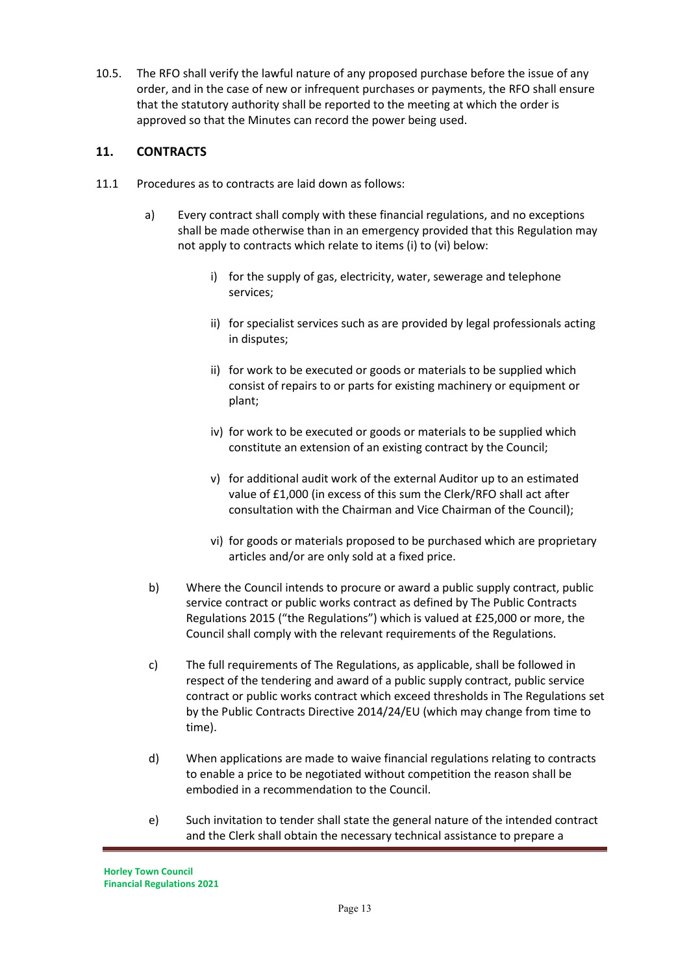10.5. The RFO shall verify the lawful nature of any proposed purchase before the issue of any order, and in the case of new or infrequent purchases or payments, the RFO shall ensure that the statutory authority shall be reported to the meeting at which the order is approved so that the Minutes can record the power being used.

# **11. CONTRACTS**

- 11.1 Procedures as to contracts are laid down as follows:
	- a) Every contract shall comply with these financial regulations, and no exceptions shall be made otherwise than in an emergency provided that this Regulation may not apply to contracts which relate to items (i) to (vi) below:
		- i) for the supply of gas, electricity, water, sewerage and telephone services;
		- ii) for specialist services such as are provided by legal professionals acting in disputes;
		- ii) for work to be executed or goods or materials to be supplied which consist of repairs to or parts for existing machinery or equipment or plant;
		- iv) for work to be executed or goods or materials to be supplied which constitute an extension of an existing contract by the Council;
		- v) for additional audit work of the external Auditor up to an estimated value of £1,000 (in excess of this sum the Clerk/RFO shall act after consultation with the Chairman and Vice Chairman of the Council);
		- vi) for goods or materials proposed to be purchased which are proprietary articles and/or are only sold at a fixed price.
	- b) Where the Council intends to procure or award a public supply contract, public service contract or public works contract as defined by The Public Contracts Regulations 2015 ("the Regulations") which is valued at £25,000 or more, the Council shall comply with the relevant requirements of the Regulations.
	- c) The full requirements of The Regulations, as applicable, shall be followed in respect of the tendering and award of a public supply contract, public service contract or public works contract which exceed thresholds in The Regulations set by the Public Contracts Directive 2014/24/EU (which may change from time to time).
	- d) When applications are made to waive financial regulations relating to contracts to enable a price to be negotiated without competition the reason shall be embodied in a recommendation to the Council.
	- e) Such invitation to tender shall state the general nature of the intended contract and the Clerk shall obtain the necessary technical assistance to prepare a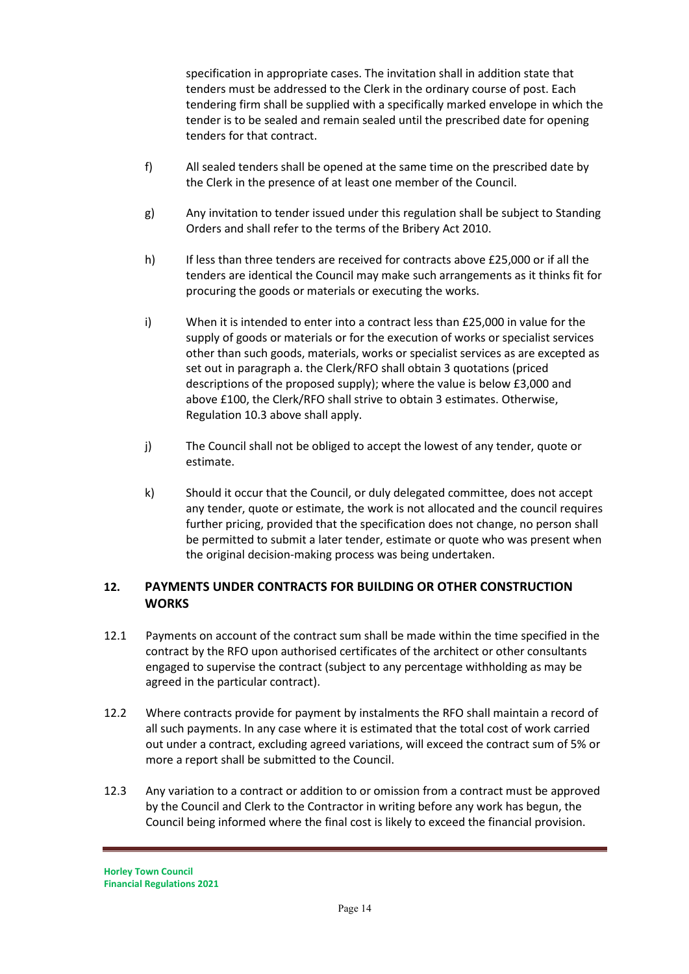specification in appropriate cases. The invitation shall in addition state that tenders must be addressed to the Clerk in the ordinary course of post. Each tendering firm shall be supplied with a specifically marked envelope in which the tender is to be sealed and remain sealed until the prescribed date for opening tenders for that contract.

- f) All sealed tenders shall be opened at the same time on the prescribed date by the Clerk in the presence of at least one member of the Council.
- g) Any invitation to tender issued under this regulation shall be subject to Standing Orders and shall refer to the terms of the Bribery Act 2010.
- h) If less than three tenders are received for contracts above £25,000 or if all the tenders are identical the Council may make such arrangements as it thinks fit for procuring the goods or materials or executing the works.
- i) When it is intended to enter into a contract less than £25,000 in value for the supply of goods or materials or for the execution of works or specialist services other than such goods, materials, works or specialist services as are excepted as set out in paragraph a. the Clerk/RFO shall obtain 3 quotations (priced descriptions of the proposed supply); where the value is below £3,000 and above £100, the Clerk/RFO shall strive to obtain 3 estimates. Otherwise, Regulation 10.3 above shall apply.
- j) The Council shall not be obliged to accept the lowest of any tender, quote or estimate.
- k) Should it occur that the Council, or duly delegated committee, does not accept any tender, quote or estimate, the work is not allocated and the council requires further pricing, provided that the specification does not change, no person shall be permitted to submit a later tender, estimate or quote who was present when the original decision-making process was being undertaken.

#### **12. PAYMENTS UNDER CONTRACTS FOR BUILDING OR OTHER CONSTRUCTION WORKS**

- 12.1 Payments on account of the contract sum shall be made within the time specified in the contract by the RFO upon authorised certificates of the architect or other consultants engaged to supervise the contract (subject to any percentage withholding as may be agreed in the particular contract).
- 12.2 Where contracts provide for payment by instalments the RFO shall maintain a record of all such payments. In any case where it is estimated that the total cost of work carried out under a contract, excluding agreed variations, will exceed the contract sum of 5% or more a report shall be submitted to the Council.
- 12.3 Any variation to a contract or addition to or omission from a contract must be approved by the Council and Clerk to the Contractor in writing before any work has begun, the Council being informed where the final cost is likely to exceed the financial provision.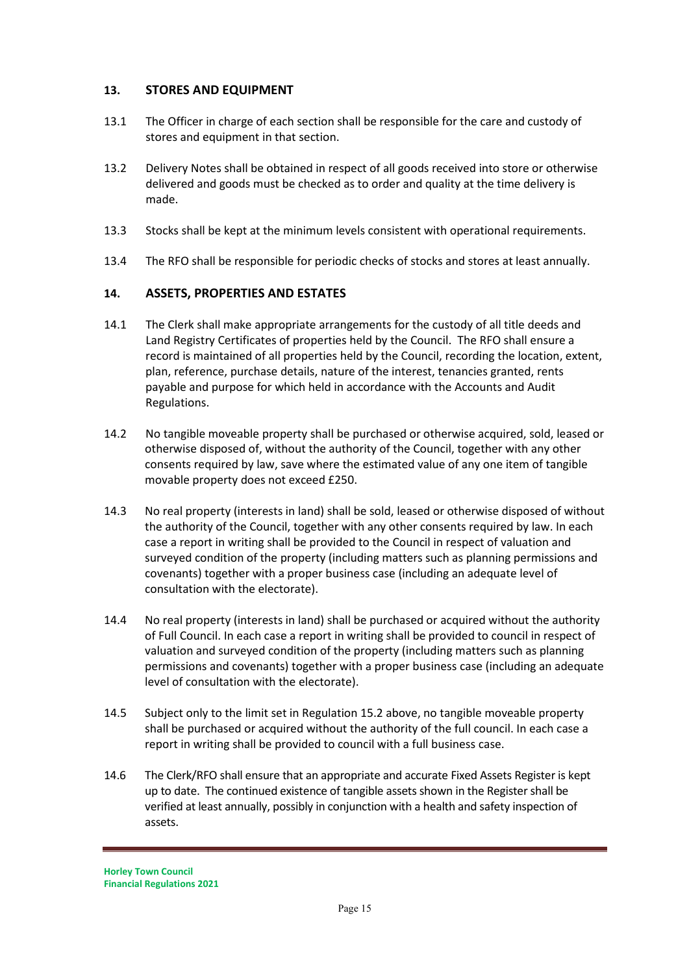#### **13. STORES AND EQUIPMENT**

- 13.1 The Officer in charge of each section shall be responsible for the care and custody of stores and equipment in that section.
- 13.2 Delivery Notes shall be obtained in respect of all goods received into store or otherwise delivered and goods must be checked as to order and quality at the time delivery is made.
- 13.3 Stocks shall be kept at the minimum levels consistent with operational requirements.
- 13.4 The RFO shall be responsible for periodic checks of stocks and stores at least annually.

#### **14. ASSETS, PROPERTIES AND ESTATES**

- 14.1 The Clerk shall make appropriate arrangements for the custody of all title deeds and Land Registry Certificates of properties held by the Council. The RFO shall ensure a record is maintained of all properties held by the Council, recording the location, extent, plan, reference, purchase details, nature of the interest, tenancies granted, rents payable and purpose for which held in accordance with the Accounts and Audit Regulations.
- 14.2 No tangible moveable property shall be purchased or otherwise acquired, sold, leased or otherwise disposed of, without the authority of the Council, together with any other consents required by law, save where the estimated value of any one item of tangible movable property does not exceed £250.
- 14.3 No real property (interests in land) shall be sold, leased or otherwise disposed of without the authority of the Council, together with any other consents required by law. In each case a report in writing shall be provided to the Council in respect of valuation and surveyed condition of the property (including matters such as planning permissions and covenants) together with a proper business case (including an adequate level of consultation with the electorate).
- 14.4 No real property (interests in land) shall be purchased or acquired without the authority of Full Council. In each case a report in writing shall be provided to council in respect of valuation and surveyed condition of the property (including matters such as planning permissions and covenants) together with a proper business case (including an adequate level of consultation with the electorate).
- 14.5 Subject only to the limit set in Regulation 15.2 above, no tangible moveable property shall be purchased or acquired without the authority of the full council. In each case a report in writing shall be provided to council with a full business case.
- 14.6 The Clerk/RFO shall ensure that an appropriate and accurate Fixed Assets Register is kept up to date. The continued existence of tangible assets shown in the Register shall be verified at least annually, possibly in conjunction with a health and safety inspection of assets.

**Horley Town Council Financial Regulations 2021**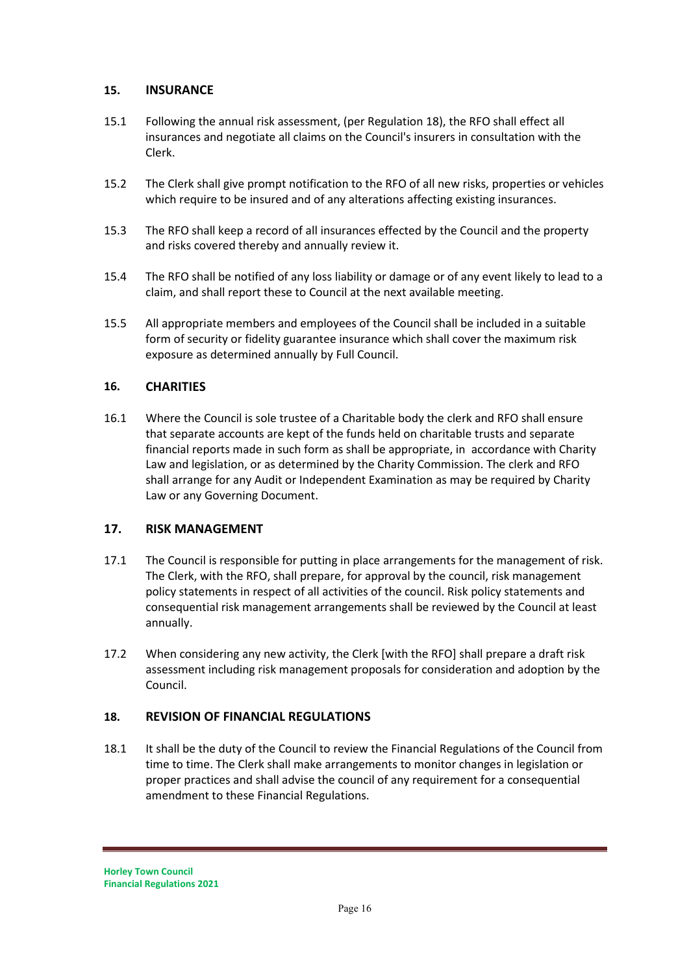#### **15. INSURANCE**

- 15.1 Following the annual risk assessment, (per Regulation 18), the RFO shall effect all insurances and negotiate all claims on the Council's insurers in consultation with the Clerk.
- 15.2 The Clerk shall give prompt notification to the RFO of all new risks, properties or vehicles which require to be insured and of any alterations affecting existing insurances.
- 15.3 The RFO shall keep a record of all insurances effected by the Council and the property and risks covered thereby and annually review it.
- 15.4 The RFO shall be notified of any loss liability or damage or of any event likely to lead to a claim, and shall report these to Council at the next available meeting.
- 15.5 All appropriate members and employees of the Council shall be included in a suitable form of security or fidelity guarantee insurance which shall cover the maximum risk exposure as determined annually by Full Council.

#### **16. CHARITIES**

16.1 Where the Council is sole trustee of a Charitable body the clerk and RFO shall ensure that separate accounts are kept of the funds held on charitable trusts and separate financial reports made in such form as shall be appropriate, in accordance with Charity Law and legislation, or as determined by the Charity Commission. The clerk and RFO shall arrange for any Audit or Independent Examination as may be required by Charity Law or any Governing Document.

#### **17. RISK MANAGEMENT**

- 17.1 The Council is responsible for putting in place arrangements for the management of risk. The Clerk, with the RFO, shall prepare, for approval by the council, risk management policy statements in respect of all activities of the council. Risk policy statements and consequential risk management arrangements shall be reviewed by the Council at least annually.
- 17.2 When considering any new activity, the Clerk [with the RFO] shall prepare a draft risk assessment including risk management proposals for consideration and adoption by the Council.

#### **18. REVISION OF FINANCIAL REGULATIONS**

18.1 It shall be the duty of the Council to review the Financial Regulations of the Council from time to time. The Clerk shall make arrangements to monitor changes in legislation or proper practices and shall advise the council of any requirement for a consequential amendment to these Financial Regulations.